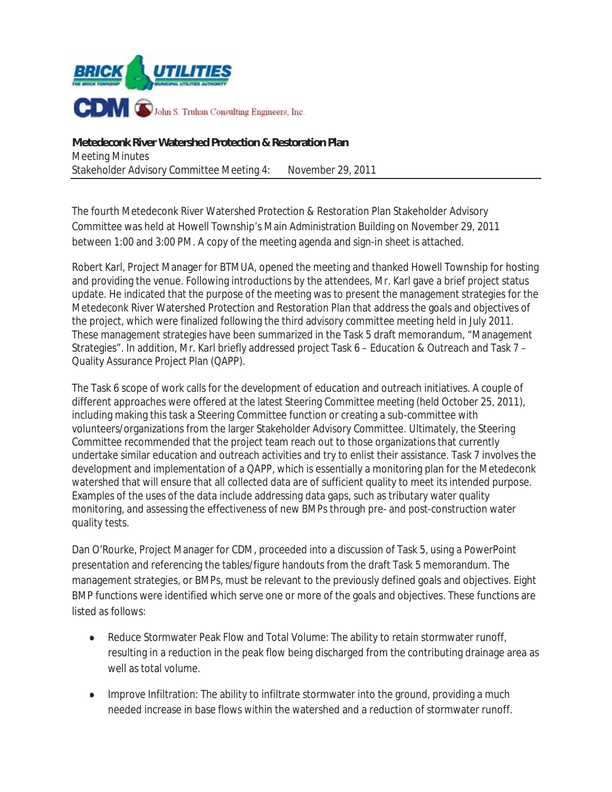

**Metedeconk River Watershed Protection & Restoration Plan**  Meeting Minutes Stakeholder Advisory Committee Meeting 4: November 29, 2011

The fourth Metedeconk River Watershed Protection & Restoration Plan Stakeholder Advisory Committee was held at Howell Township's Main Administration Building on November 29, 2011 between 1:00 and 3:00 PM. A copy of the meeting agenda and sign-in sheet is attached.

Robert Karl, Project Manager for BTMUA, opened the meeting and thanked Howell Township for hosting and providing the venue. Following introductions by the attendees, Mr. Karl gave a brief project status update. He indicated that the purpose of the meeting was to present the management strategies for the Metedeconk River Watershed Protection and Restoration Plan that address the goals and objectives of the project, which were finalized following the third advisory committee meeting held in July 2011. These management strategies have been summarized in the Task 5 draft memorandum, "Management Strategies". In addition, Mr. Karl briefly addressed project Task 6 – Education & Outreach and Task 7 – Quality Assurance Project Plan (QAPP).

The Task 6 scope of work calls for the development of education and outreach initiatives. A couple of different approaches were offered at the latest Steering Committee meeting (held October 25, 2011), including making this task a Steering Committee function or creating a sub-committee with volunteers/organizations from the larger Stakeholder Advisory Committee. Ultimately, the Steering Committee recommended that the project team reach out to those organizations that currently undertake similar education and outreach activities and try to enlist their assistance. Task 7 involves the development and implementation of a QAPP, which is essentially a monitoring plan for the Metedeconk watershed that will ensure that all collected data are of sufficient quality to meet its intended purpose. Examples of the uses of the data include addressing data gaps, such as tributary water quality monitoring, and assessing the effectiveness of new BMPs through pre- and post-construction water quality tests.

Dan O'Rourke, Project Manager for CDM, proceeded into a discussion of Task 5, using a PowerPoint presentation and referencing the tables/figure handouts from the draft Task 5 memorandum. The management strategies, or BMPs, must be relevant to the previously defined goals and objectives. Eight BMP functions were identified which serve one or more of the goals and objectives. These functions are listed as follows:

- Reduce Stormwater Peak Flow and Total Volume: The ability to retain stormwater runoff, resulting in a reduction in the peak flow being discharged from the contributing drainage area as well as total volume.
- Improve Infiltration: The ability to infiltrate stormwater into the ground, providing a much . needed increase in base flows within the watershed and a reduction of stormwater runoff.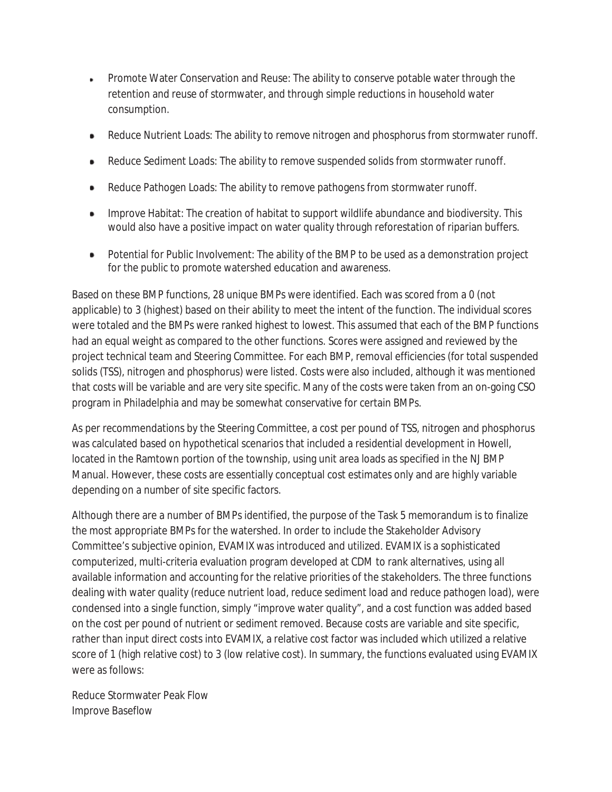- Promote Water Conservation and Reuse: The ability to conserve potable water through the retention and reuse of stormwater, and through simple reductions in household water consumption.
- Reduce Nutrient Loads: The ability to remove nitrogen and phosphorus from stormwater runoff.
- Reduce Sediment Loads: The ability to remove suspended solids from stormwater runoff.
- Reduce Pathogen Loads: The ability to remove pathogens from stormwater runoff.
- Improve Habitat: The creation of habitat to support wildlife abundance and biodiversity. This would also have a positive impact on water quality through reforestation of riparian buffers.
- $\bullet$ Potential for Public Involvement: The ability of the BMP to be used as a demonstration project for the public to promote watershed education and awareness.

Based on these BMP functions, 28 unique BMPs were identified. Each was scored from a 0 (not applicable) to 3 (highest) based on their ability to meet the intent of the function. The individual scores were totaled and the BMPs were ranked highest to lowest. This assumed that each of the BMP functions had an equal weight as compared to the other functions. Scores were assigned and reviewed by the project technical team and Steering Committee. For each BMP, removal efficiencies (for total suspended solids (TSS), nitrogen and phosphorus) were listed. Costs were also included, although it was mentioned that costs will be variable and are very site specific. Many of the costs were taken from an on-going CSO program in Philadelphia and may be somewhat conservative for certain BMPs.

As per recommendations by the Steering Committee, a cost per pound of TSS, nitrogen and phosphorus was calculated based on hypothetical scenarios that included a residential development in Howell, located in the Ramtown portion of the township, using unit area loads as specified in the NJ BMP Manual. However, these costs are essentially conceptual cost estimates only and are highly variable depending on a number of site specific factors.

Although there are a number of BMPs identified, the purpose of the Task 5 memorandum is to finalize the most appropriate BMPs for the watershed. In order to include the Stakeholder Advisory Committee's subjective opinion, EVAMIX was introduced and utilized. EVAMIX is a sophisticated computerized, multi-criteria evaluation program developed at CDM to rank alternatives, using all available information and accounting for the relative priorities of the stakeholders. The three functions dealing with water quality (reduce nutrient load, reduce sediment load and reduce pathogen load), were condensed into a single function, simply "improve water quality", and a cost function was added based on the cost per pound of nutrient or sediment removed. Because costs are variable and site specific, rather than input direct costs into EVAMIX, a relative cost factor was included which utilized a relative score of 1 (high relative cost) to 3 (low relative cost). In summary, the functions evaluated using EVAMIX were as follows:

Reduce Stormwater Peak Flow Improve Baseflow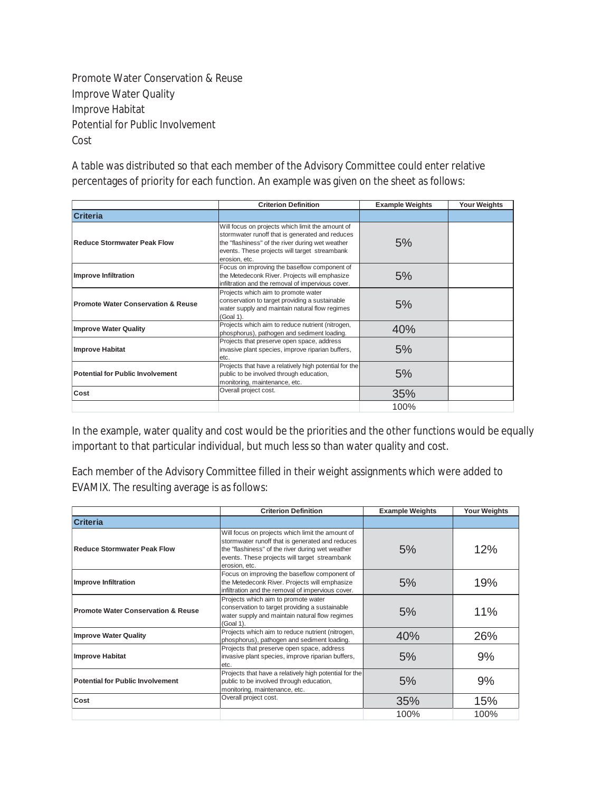Promote Water Conservation & Reuse Improve Water Quality Improve Habitat Potential for Public Involvement Cost

A table was distributed so that each member of the Advisory Committee could enter relative percentages of priority for each function. An example was given on the sheet as follows:

| <b>Criterion Definition</b>                   |                                                                                                                                                                                                                           | <b>Example Weights</b> | <b>Your Weights</b> |
|-----------------------------------------------|---------------------------------------------------------------------------------------------------------------------------------------------------------------------------------------------------------------------------|------------------------|---------------------|
| <b>Criteria</b>                               |                                                                                                                                                                                                                           |                        |                     |
| Reduce Stormwater Peak Flow                   | Will focus on projects which limit the amount of<br>stormwater runoff that is generated and reduces<br>the "flashiness" of the river during wet weather<br>events. These projects will target streambank<br>erosion, etc. | 5%                     |                     |
| Improve Infiltration                          | Focus on improving the baseflow component of<br>the Metedeconk River. Projects will emphasize<br>infiltration and the removal of impervious cover.                                                                        | 5%                     |                     |
| <b>Promote Water Conservation &amp; Reuse</b> | Projects which aim to promote water<br>conservation to target providing a sustainable<br>water supply and maintain natural flow regimes<br>(Goal 1).                                                                      | 5%                     |                     |
| <b>Improve Water Quality</b>                  | Projects which aim to reduce nutrient (nitrogen,<br>phosphorus), pathogen and sediment loading.                                                                                                                           |                        |                     |
| Improve Habitat                               | Projects that preserve open space, address<br>invasive plant species, improve riparian buffers,<br>letc.                                                                                                                  | 5%                     |                     |
| <b>Potential for Public Involvement</b>       | Projects that have a relatively high potential for the<br>public to be involved through education,<br>monitoring, maintenance, etc.                                                                                       | 5%                     |                     |
| Cost                                          | Overall project cost.                                                                                                                                                                                                     | 35%                    |                     |
|                                               |                                                                                                                                                                                                                           | 100%                   |                     |

In the example, water quality and cost would be the priorities and the other functions would be equally important to that particular individual, but much less so than water quality and cost.

Each member of the Advisory Committee filled in their weight assignments which were added to EVAMIX. The resulting average is as follows:

| <b>Criterion Definition</b>                   |                                                                                                                                                                                                                           | <b>Example Weights</b> | <b>Your Weights</b> |  |
|-----------------------------------------------|---------------------------------------------------------------------------------------------------------------------------------------------------------------------------------------------------------------------------|------------------------|---------------------|--|
| <b>Criteria</b>                               |                                                                                                                                                                                                                           |                        |                     |  |
| <b>Reduce Stormwater Peak Flow</b>            | Will focus on projects which limit the amount of<br>stormwater runoff that is generated and reduces<br>the "flashiness" of the river during wet weather<br>events. These projects will target streambank<br>erosion, etc. | 5%                     | 12%                 |  |
| Improve Infiltration                          | Focus on improving the baseflow component of<br>the Metedeconk River. Projects will emphasize<br>infiltration and the removal of impervious cover.                                                                        | 5%                     |                     |  |
| <b>Promote Water Conservation &amp; Reuse</b> | Projects which aim to promote water<br>conservation to target providing a sustainable<br>water supply and maintain natural flow regimes<br>(Goal 1).                                                                      | 5%                     | 11%                 |  |
| <b>Improve Water Quality</b>                  | Projects which aim to reduce nutrient (nitrogen,<br>phosphorus), pathogen and sediment loading.                                                                                                                           | 40%                    | 26%                 |  |
| Improve Habitat                               | Projects that preserve open space, address<br>invasive plant species, improve riparian buffers,<br>etc.                                                                                                                   | 5%                     |                     |  |
| Potential for Public Involvement              | Projects that have a relatively high potential for the<br>public to be involved through education,<br>monitoring, maintenance, etc.                                                                                       | 5%                     | 9%                  |  |
| Cost                                          | Overall project cost.                                                                                                                                                                                                     | 35%                    | 15%                 |  |
|                                               |                                                                                                                                                                                                                           | 100%                   | 100%                |  |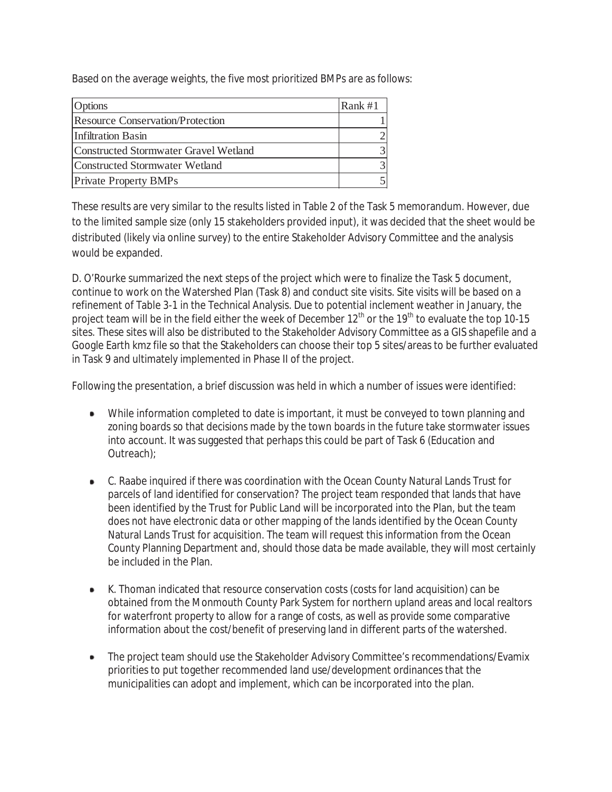Based on the average weights, the five most prioritized BMPs are as follows:

| Options                               | Rank #1 |
|---------------------------------------|---------|
| Resource Conservation/Protection      |         |
| Infiltration Basin                    |         |
| Constructed Stormwater Gravel Wetland |         |
| Constructed Stormwater Wetland        |         |
| <b>Private Property BMPs</b>          |         |

These results are very similar to the results listed in Table 2 of the Task 5 memorandum. However, due to the limited sample size (only 15 stakeholders provided input), it was decided that the sheet would be distributed (likely via online survey) to the entire Stakeholder Advisory Committee and the analysis would be expanded.

D. O'Rourke summarized the next steps of the project which were to finalize the Task 5 document, continue to work on the Watershed Plan (Task 8) and conduct site visits. Site visits will be based on a refinement of Table 3-1 in the Technical Analysis. Due to potential inclement weather in January, the project team will be in the field either the week of December 12<sup>th</sup> or the 19<sup>th</sup> to evaluate the top 10-15 sites. These sites will also be distributed to the Stakeholder Advisory Committee as a GIS shapefile and a Google Earth kmz file so that the Stakeholders can choose their top 5 sites/areas to be further evaluated in Task 9 and ultimately implemented in Phase II of the project.

Following the presentation, a brief discussion was held in which a number of issues were identified:

- While information completed to date is important, it must be conveyed to town planning and zoning boards so that decisions made by the town boards in the future take stormwater issues into account. It was suggested that perhaps this could be part of Task 6 (Education and Outreach);
- C. Raabe inquired if there was coordination with the Ocean County Natural Lands Trust for parcels of land identified for conservation? The project team responded that lands that have been identified by the Trust for Public Land will be incorporated into the Plan, but the team does not have electronic data or other mapping of the lands identified by the Ocean County Natural Lands Trust for acquisition. The team will request this information from the Ocean County Planning Department and, should those data be made available, they will most certainly be included in the Plan.
- K. Thoman indicated that resource conservation costs (costs for land acquisition) can be obtained from the Monmouth County Park System for northern upland areas and local realtors for waterfront property to allow for a range of costs, as well as provide some comparative information about the cost/benefit of preserving land in different parts of the watershed.
- The project team should use the Stakeholder Advisory Committee's recommendations/Evamix priorities to put together recommended land use/development ordinances that the municipalities can adopt and implement, which can be incorporated into the plan.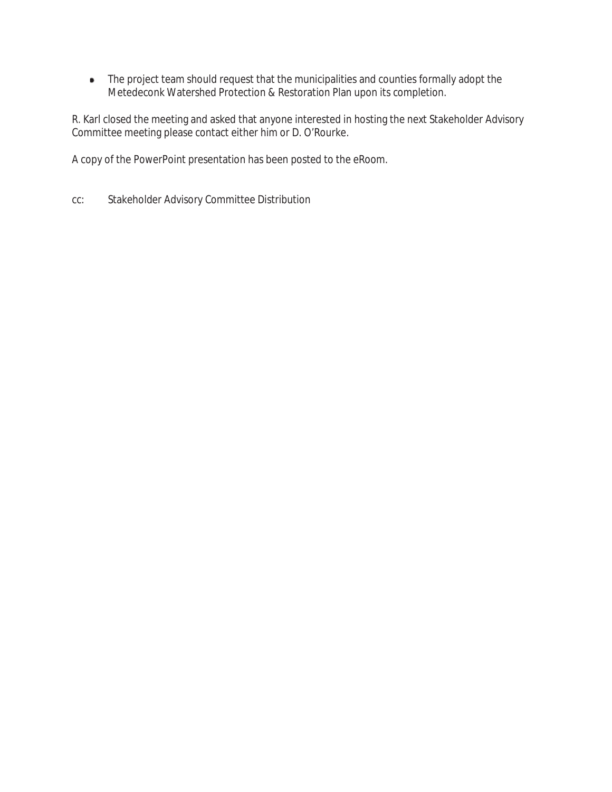• The project team should request that the municipalities and counties formally adopt the Metedeconk Watershed Protection & Restoration Plan upon its completion.

R. Karl closed the meeting and asked that anyone interested in hosting the next Stakeholder Advisory Committee meeting please contact either him or D. O'Rourke.

A copy of the PowerPoint presentation has been posted to the eRoom.

cc: Stakeholder Advisory Committee Distribution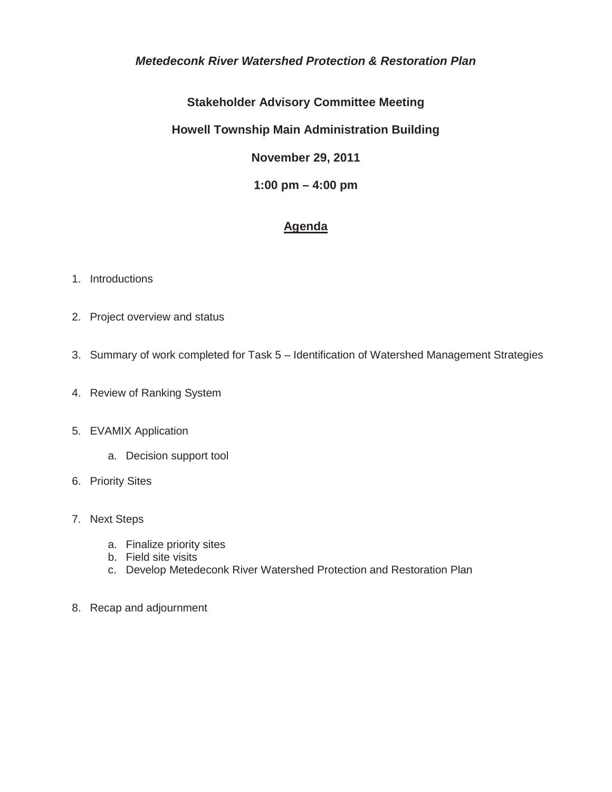### *Metedeconk River Watershed Protection & Restoration Plan*

## **Stakeholder Advisory Committee Meeting**

## **Howell Township Main Administration Building**

**November 29, 2011** 

### **1:00 pm – 4:00 pm**

## **Agenda**

#### 1. Introductions

- 2. Project overview and status
- 3. Summary of work completed for Task 5 Identification of Watershed Management Strategies
- 4. Review of Ranking System

#### 5. EVAMIX Application

- a. Decision support tool
- 6. Priority Sites
- 7. Next Steps
	- a. Finalize priority sites
	- b. Field site visits
	- c. Develop Metedeconk River Watershed Protection and Restoration Plan
- 8. Recap and adjournment